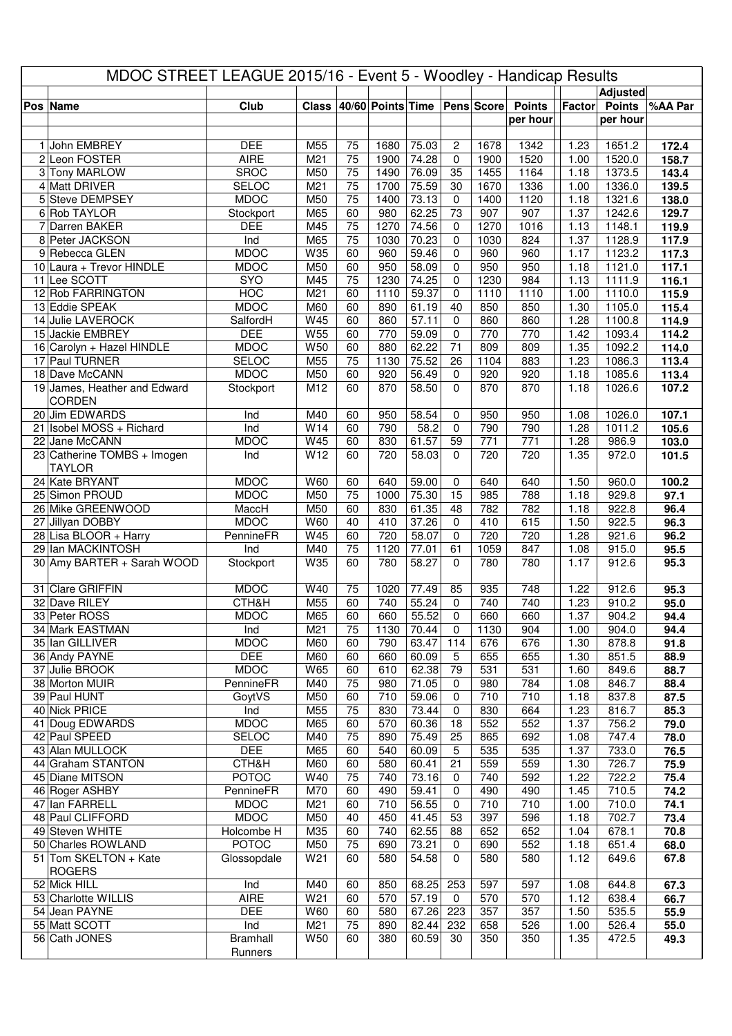| MDOC STREET LEAGUE 2015/16 - Event 5 - Woodley - Handicap Results |                                              |                            |                 |                 |                   |                |                         |              |               |              |                  |                |
|-------------------------------------------------------------------|----------------------------------------------|----------------------------|-----------------|-----------------|-------------------|----------------|-------------------------|--------------|---------------|--------------|------------------|----------------|
|                                                                   |                                              |                            |                 |                 |                   |                |                         |              |               |              | <b>Adjusted</b>  |                |
|                                                                   | Pos Name                                     | Club                       | <b>Class</b>    |                 | 40/60 Points Time |                |                         | Pens Score   | <b>Points</b> | Factor       | <b>Points</b>    | %AA Par        |
|                                                                   |                                              |                            |                 |                 |                   |                |                         |              | per hour      |              | per hour         |                |
|                                                                   | 1 John EMBREY                                | <b>DEE</b>                 | M55             | 75              | 1680              | 75.03          | $\overline{\mathbf{c}}$ | 1678         | 1342          | 1.23         | 1651.2           | 172.4          |
|                                                                   | 2 Leon FOSTER                                | <b>AIRE</b>                | M <sub>21</sub> | $\overline{75}$ | 1900              | 74.28          | $\mathbf 0$             | 1900         | 1520          | 1.00         | 1520.0           | 158.7          |
|                                                                   | 3 Tony MARLOW                                | <b>SROC</b>                | M50             | $\overline{75}$ | 1490              | 76.09          | 35                      | 1455         | 1164          | 1.18         | 1373.5           | 143.4          |
|                                                                   | 4 Matt DRIVER                                | <b>SELOC</b>               | M21             | $\overline{75}$ | 1700              | 75.59          | 30                      | 1670         | 1336          | 1.00         | 1336.0           | 139.5          |
|                                                                   | 5 Steve DEMPSEY                              | <b>MDOC</b>                | M50             | $\overline{75}$ | 1400              | 73.13          | $\mathbf 0$             | 1400         | 1120          | 1.18         | 1321.6           | 138.0          |
|                                                                   | 6 Rob TAYLOR                                 | Stockport                  | M65             | 60              | 980               | 62.25          | 73                      | 907          | 907           | 1.37         | 1242.6           | 129.7          |
|                                                                   | 7 Darren BAKER<br>8 Peter JACKSON            | <b>DEE</b>                 | M45<br>M65      | 75<br>75        | 1270<br>1030      | 74.56<br>70.23 | 0                       | 1270<br>1030 | 1016<br>824   | 1.13<br>1.37 | 1148.1<br>1128.9 | 119.9<br>117.9 |
|                                                                   | 9 Rebecca GLEN                               | Ind<br><b>MDOC</b>         | W35             | 60              | 960               | 59.46          | 0<br>0                  | 960          | 960           | 1.17         | 1123.2           | 117.3          |
|                                                                   | 10 Laura + Trevor HINDLE                     | <b>MDOC</b>                | M50             | 60              | 950               | 58.09          | 0                       | 950          | 950           | 1.18         | 1121.0           | 117.1          |
|                                                                   | 11 Lee SCOTT                                 | <b>SYO</b>                 | M45             | 75              | 1230              | 74.25          | 0                       | 1230         | 984           | 1.13         | 1111.9           | 116.1          |
|                                                                   | 12 Rob FARRINGTON                            | <b>HOC</b>                 | M21             | 60              | 1110              | 59.37          | $\mathbf 0$             | 1110         | 1110          | 1.00         | 1110.0           | 115.9          |
|                                                                   | 13 Eddie SPEAK                               | <b>MDOC</b>                | M60             | 60              | 890               | 61.19          | 40                      | 850          | 850           | 1.30         | 1105.0           | 115.4          |
|                                                                   | 14 Julie LAVEROCK                            | SalfordH                   | W45             | 60              | 860               | 57.11          | 0                       | 860          | 860           | 1.28         | 1100.8           | 114.9          |
|                                                                   | 15 Jackie EMBREY                             | <b>DEE</b><br><b>MDOC</b>  | W55<br>W50      | 60<br>60        | 770<br>880        | 59.09<br>62.22 | 0<br>71                 | 770<br>809   | 770<br>809    | 1.42<br>1.35 | 1093.4<br>1092.2 | 114.2<br>114.0 |
|                                                                   | 16 Carolyn + Hazel HINDLE<br>17 Paul TURNER  | <b>SELOC</b>               | M55             | $\overline{75}$ | 1130              | 75.52          | $\overline{26}$         | 1104         | 883           | 1.23         | 1086.3           | 113.4          |
|                                                                   | 18 Dave McCANN                               | <b>MDOC</b>                | M50             | 60              | 920               | 56.49          | $\mathbf 0$             | 920          | 920           | 1.18         | 1085.6           | 113.4          |
|                                                                   | 19 James, Heather and Edward                 | Stockport                  | M12             | 60              | 870               | 58.50          | $\Omega$                | 870          | 870           | 1.18         | 1026.6           | 107.2          |
|                                                                   | <b>CORDEN</b>                                |                            |                 |                 |                   |                |                         |              |               |              |                  |                |
|                                                                   | 20 Jim EDWARDS                               | Ind                        | M40             | 60              | 950               | 58.54          | 0                       | 950          | 950           | 1.08         | 1026.0           | 107.1          |
|                                                                   | $\boxed{21}$ Isobel MOSS + Richard           | Ind                        | W14             | 60              | 790               | 58.2           | $\mathbf 0$             | 790          | 790           | 1.28         | 1011.2           | 105.6          |
|                                                                   | 22 Jane McCANN                               | <b>MDOC</b>                | W45             | 60              | 830               | 61.57          | 59                      | 771          | 771           | 1.28         | 986.9            | 103.0          |
|                                                                   | 23 Catherine TOMBS + Imogen<br><b>TAYLOR</b> | Ind                        | W12             | 60              | 720               | 58.03          | $\Omega$                | 720          | 720           | 1.35         | 972.0            | 101.5          |
|                                                                   | 24 Kate BRYANT                               | <b>MDOC</b>                | W60             | 60              | 640               | 59.00          | 0                       | 640          | 640           | 1.50         | 960.0            | 100.2          |
|                                                                   | 25 Simon PROUD                               | <b>MDOC</b>                | M50             | $\overline{75}$ | 1000              | 75.30          | $\overline{15}$         | 985          | 788           | 1.18         | 929.8            | 97.1           |
|                                                                   | 26 Mike GREENWOOD                            | MaccH<br><b>MDOC</b>       | M50<br>W60      | 60<br>40        | 830<br>410        | 61.35<br>37.26 | 48<br>$\mathbf 0$       | 782<br>410   | 782<br>615    | 1.18<br>1.50 | 922.8<br>922.5   | 96.4           |
|                                                                   | 27 Jillyan DOBBY<br>28 Lisa BLOOR + Harry    | PennineFR                  | W45             | 60              | 720               | 58.07          | $\pmb{0}$               | 720          | 720           | 1.28         | 921.6            | 96.3<br>96.2   |
|                                                                   | 29 Ian MACKINTOSH                            | Ind                        | M40             | 75              | 1120              | 77.01          | 61                      | 1059         | 847           | 1.08         | 915.0            | 95.5           |
|                                                                   | 30 Amy BARTER + Sarah WOOD                   | Stockport                  | W35             | 60              | 780               | 58.27          | $\Omega$                | 780          | 780           | 1.17         | 912.6            | 95.3           |
|                                                                   |                                              |                            |                 |                 |                   |                |                         |              |               |              |                  |                |
|                                                                   | 31 Clare GRIFFIN<br>32 Dave RILEY            | <b>MDOC</b><br>CTH&H       | W40<br>M55      | 75<br>60        | 1020<br>740       | 77.49<br>55.24 | 85<br>$\pmb{0}$         | 935<br>740   | 748<br>740    | 1.22<br>1.23 | 912.6<br>910.2   | 95.3<br>95.0   |
|                                                                   | 33 Peter ROSS                                | <b>MDOC</b>                | M65             | 60              | 660               | 55.52          | $\Omega$                | 660          | 660           | 1.37         | 904.2            | 94.4           |
|                                                                   | 34 Mark EASTMAN                              | Ind                        | M21             | 75              | 1130              | 70.44          | 0                       | 1130         | 904           | 1.00         | 904.0            | 94.4           |
|                                                                   | 35 Ian GILLIVER                              | <b>MDOC</b>                | M60             | 60              | 790               | 63.47          | 114                     | 676          | 676           | 1.30         | 878.8            | 91.8           |
|                                                                   | 36 Andy PAYNE                                | <b>DEE</b>                 | M60             | 60              | 660               | 60.09          | $\sqrt{5}$              | 655          | 655           | 1.30         | 851.5            | 88.9           |
|                                                                   | 37 Julie BROOK                               | <b>MDOC</b>                | W65             | 60              | 610               | 62.38          | 79                      | 531          | 531           | 1.60         | 849.6            | 88.7           |
|                                                                   | 38 Morton MUIR                               | PennineFR                  | M40             | 75              | 980               | 71.05          | $\mathbf 0$             | 980          | 784           | 1.08         | 846.7            | 88.4           |
|                                                                   | 39 Paul HUNT<br>40 Nick PRICE                | GoytVS<br>Ind              | M50<br>M55      | 60<br>75        | 710<br>830        | 59.06<br>73.44 | 0<br>0                  | 710<br>830   | 710<br>664    | 1.18<br>1.23 | 837.8<br>816.7   | 87.5<br>85.3   |
|                                                                   | 41 Doug EDWARDS                              | <b>MDOC</b>                | M65             | 60              | 570               | 60.36          | 18                      | 552          | 552           | 1.37         | 756.2            | 79.0           |
|                                                                   | 42 Paul SPEED                                | <b>SELOC</b>               | M40             | 75              | 890               | 75.49          | 25                      | 865          | 692           | 1.08         | 747.4            | 78.0           |
|                                                                   | 43 Alan MULLOCK                              | <b>DEE</b>                 | M65             | 60              | 540               | 60.09          | 5                       | 535          | 535           | 1.37         | 733.0            | 76.5           |
|                                                                   | 44 Graham STANTON                            | CTH&H                      | M60             | 60              | 580               | 60.41          | 21                      | 559          | 559           | 1.30         | 726.7            | 75.9           |
|                                                                   | 45 Diane MITSON                              | <b>POTOC</b>               | W40             | 75              | 740               | 73.16          | 0                       | 740          | 592           | 1.22         | 722.2            | 75.4           |
|                                                                   | 46 Roger ASHBY                               | PennineFR                  | M70             | 60              | 490               | 59.41          | 0                       | 490          | 490           | 1.45         | 710.5            | 74.2           |
|                                                                   | 47 Ian FARRELL<br>48 Paul CLIFFORD           | <b>MDOC</b><br><b>MDOC</b> | M21<br>M50      | 60<br>40        | 710<br>450        | 56.55<br>41.45 | $\mathbf 0$<br>53       | 710<br>397   | 710<br>596    | 1.00<br>1.18 | 710.0<br>702.7   | 74.1           |
|                                                                   | 49 Steven WHITE                              | Holcombe H                 | M35             | 60              | 740               | 62.55          | 88                      | 652          | 652           | 1.04         | 678.1            | 73.4<br>70.8   |
|                                                                   | 50 Charles ROWLAND                           | <b>POTOC</b>               | M50             | 75              | 690               | 73.21          | 0                       | 690          | 552           | 1.18         | 651.4            | 68.0           |
|                                                                   | 51 Tom SKELTON + Kate                        | Glossopdale                | W21             | 60              | 580               | 54.58          | 0                       | 580          | 580           | 1.12         | 649.6            | 67.8           |
|                                                                   | <b>ROGERS</b>                                |                            |                 |                 |                   |                |                         |              |               |              |                  |                |
|                                                                   | 52 Mick HILL                                 | Ind                        | M40             | 60              | 850               | 68.25          | 253                     | 597          | 597           | 1.08         | 644.8            | 67.3           |
|                                                                   | 53 Charlotte WILLIS                          | <b>AIRE</b>                | W <sub>21</sub> | 60              | 570               | 57.19          | $\mathbf 0$             | 570          | 570           | 1.12         | 638.4            | 66.7           |
|                                                                   | 54 Jean PAYNE                                | <b>DEE</b><br>Ind          | W60             | 60<br>75        | 580               | 67.26          | 223                     | 357          | 357           | 1.50         | 535.5            | 55.9           |
|                                                                   | 55 Matt SCOTT<br>56 Cath JONES               | <b>Bramhall</b>            | M21<br>W50      | 60              | 890<br>380        | 82.44<br>60.59 | 232<br>30               | 658<br>350   | 526<br>350    | 1.00<br>1.35 | 526.4<br>472.5   | 55.0<br>49.3   |
|                                                                   |                                              | Runners                    |                 |                 |                   |                |                         |              |               |              |                  |                |